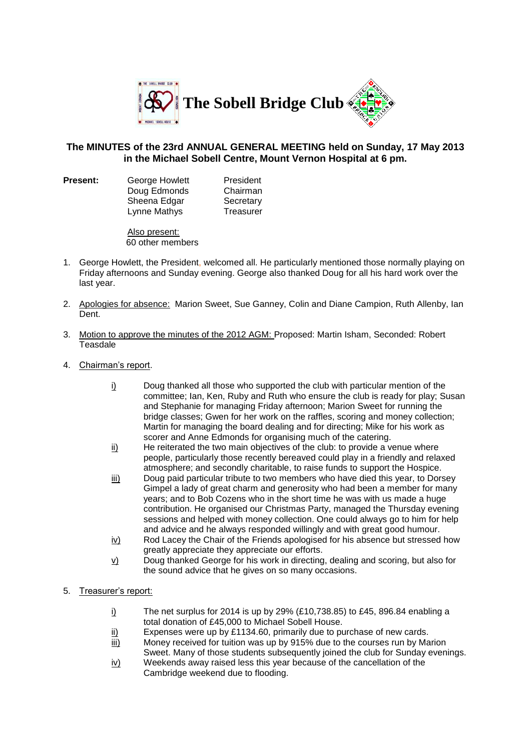

## **The MINUTES of the 23rd ANNUAL GENERAL MEETING held on Sunday, 17 May 2013 in the Michael Sobell Centre, Mount Vernon Hospital at 6 pm.**

**Present:** George Howlett President Doug Edmonds Chairman Sheena Edgar Secretary<br>I vnne Mathys Treasurer Lynne Mathys

Also present: 60 other members

- 1. George Howlett, the President, welcomed all. He particularly mentioned those normally playing on Friday afternoons and Sunday evening. George also thanked Doug for all his hard work over the last year.
- 2. Apologies for absence: Marion Sweet, Sue Ganney, Colin and Diane Campion, Ruth Allenby, Ian Dent.
- 3. Motion to approve the minutes of the 2012 AGM: Proposed: Martin Isham, Seconded: Robert **Teasdale**
- 4. Chairman's report.
	- i) Doug thanked all those who supported the club with particular mention of the committee; Ian, Ken, Ruby and Ruth who ensure the club is ready for play; Susan and Stephanie for managing Friday afternoon; Marion Sweet for running the bridge classes; Gwen for her work on the raffles, scoring and money collection; Martin for managing the board dealing and for directing; Mike for his work as scorer and Anne Edmonds for organising much of the catering.
	- ii) He reiterated the two main objectives of the club: to provide a venue where people, particularly those recently bereaved could play in a friendly and relaxed atmosphere; and secondly charitable, to raise funds to support the Hospice.
	- iii) Doug paid particular tribute to two members who have died this year, to Dorsey Gimpel a lady of great charm and generosity who had been a member for many years; and to Bob Cozens who in the short time he was with us made a huge contribution. He organised our Christmas Party, managed the Thursday evening sessions and helped with money collection. One could always go to him for help and advice and he always responded willingly and with great good humour.
	- $iv)$  Rod Lacey the Chair of the Friends apologised for his absence but stressed how greatly appreciate they appreciate our efforts.
	- v) Doug thanked George for his work in directing, dealing and scoring, but also for the sound advice that he gives on so many occasions.
- 5. Treasurer's report:
	- i) The net surplus for 2014 is up by 29%  $(E10,738.85)$  to £45, 896.84 enabling a total donation of £45,000 to Michael Sobell House.
	- ii) Expenses were up by £1134.60, primarily due to purchase of new cards.
	- iii) Money received for tuition was up by 915% due to the courses run by Marion Sweet. Many of those students subsequently joined the club for Sunday evenings.
	- iv) Weekends away raised less this year because of the cancellation of the Cambridge weekend due to flooding.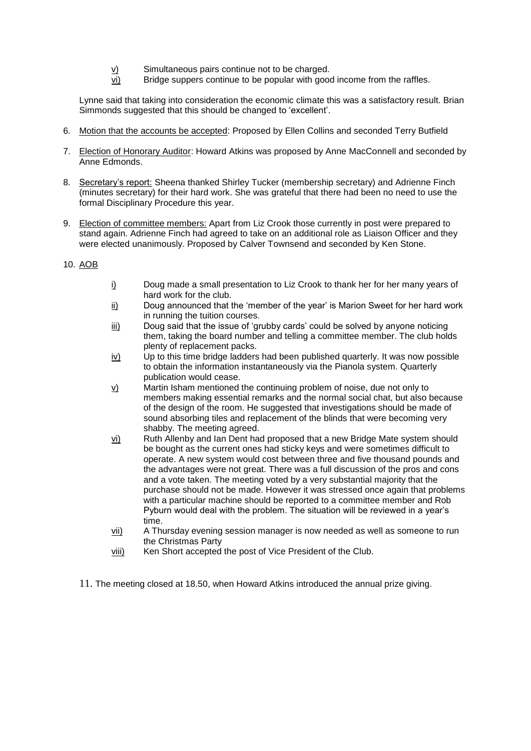- v) Simultaneous pairs continue not to be charged.
- vi) Bridge suppers continue to be popular with good income from the raffles.

Lynne said that taking into consideration the economic climate this was a satisfactory result. Brian Simmonds suggested that this should be changed to 'excellent'.

- 6. Motion that the accounts be accepted: Proposed by Ellen Collins and seconded Terry Butfield
- 7. Election of Honorary Auditor: Howard Atkins was proposed by Anne MacConnell and seconded by Anne Edmonds.
- 8. Secretary's report: Sheena thanked Shirley Tucker (membership secretary) and Adrienne Finch (minutes secretary) for their hard work. She was grateful that there had been no need to use the formal Disciplinary Procedure this year.
- 9. Election of committee members: Apart from Liz Crook those currently in post were prepared to stand again. Adrienne Finch had agreed to take on an additional role as Liaison Officer and they were elected unanimously. Proposed by Calver Townsend and seconded by Ken Stone.
- 10. AOB
- i) Doug made a small presentation to Liz Crook to thank her for her many years of hard work for the club.
- ii) Doug announced that the 'member of the year' is Marion Sweet for her hard work in running the tuition courses.
- iii) Doug said that the issue of 'grubby cards' could be solved by anyone noticing them, taking the board number and telling a committee member. The club holds plenty of replacement packs.
- iv) Up to this time bridge ladders had been published quarterly. It was now possible to obtain the information instantaneously via the Pianola system. Quarterly publication would cease.
- v) Martin Isham mentioned the continuing problem of noise, due not only to members making essential remarks and the normal social chat, but also because of the design of the room. He suggested that investigations should be made of sound absorbing tiles and replacement of the blinds that were becoming very shabby. The meeting agreed.
- vi) Ruth Allenby and Ian Dent had proposed that a new Bridge Mate system should be bought as the current ones had sticky keys and were sometimes difficult to operate. A new system would cost between three and five thousand pounds and the advantages were not great. There was a full discussion of the pros and cons and a vote taken. The meeting voted by a very substantial majority that the purchase should not be made. However it was stressed once again that problems with a particular machine should be reported to a committee member and Rob Pyburn would deal with the problem. The situation will be reviewed in a year's time.
- vii) A Thursday evening session manager is now needed as well as someone to run the Christmas Party
- viii) Ken Short accepted the post of Vice President of the Club.
- 11. The meeting closed at 18.50, when Howard Atkins introduced the annual prize giving.